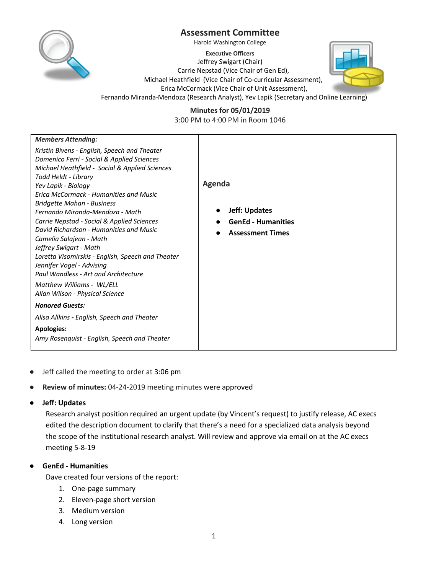



Harold Washington College

**Executive Officers**

Jeffrey Swigart (Chair) Carrie Nepstad (Vice Chair of Gen Ed), Michael Heathfield (Vice Chair of Co-curricular Assessment), Erica McCormack (Vice Chair of Unit Assessment), Fernando Miranda-Mendoza (Research Analyst), Yev Lapik (Secretary and Online Learning)



**Minutes for 05/01/2019** 3:00 PM to 4:00 PM in Room 1046

| <b>Members Attending:</b><br>Kristin Bivens - English, Speech and Theater<br>Domenico Ferri - Social & Applied Sciences<br>Michael Heathfield - Social & Applied Sciences<br>Todd Heldt - Library<br>Yev Lapik - Biology<br>Erica McCormack - Humanities and Music<br><b>Bridgette Mahan - Business</b><br>Fernando Miranda-Mendoza - Math<br>Carrie Nepstad - Social & Applied Sciences<br>David Richardson - Humanities and Music<br>Camelia Salajean - Math<br>Jeffrey Swigart - Math<br>Loretta Visomirskis - English, Speech and Theater<br>Jennifer Vogel - Advising<br>Paul Wandless - Art and Architecture<br>Matthew Williams - WL/ELL<br>Allan Wilson - Physical Science<br><b>Honored Guests:</b><br>Alisa Allkins - English, Speech and Theater<br><b>Apologies:</b><br>Amy Rosenquist - English, Speech and Theater | Agenda<br><b>Jeff: Updates</b><br><b>GenEd - Humanities</b><br><b>Assessment Times</b> |
|----------------------------------------------------------------------------------------------------------------------------------------------------------------------------------------------------------------------------------------------------------------------------------------------------------------------------------------------------------------------------------------------------------------------------------------------------------------------------------------------------------------------------------------------------------------------------------------------------------------------------------------------------------------------------------------------------------------------------------------------------------------------------------------------------------------------------------|----------------------------------------------------------------------------------------|
|----------------------------------------------------------------------------------------------------------------------------------------------------------------------------------------------------------------------------------------------------------------------------------------------------------------------------------------------------------------------------------------------------------------------------------------------------------------------------------------------------------------------------------------------------------------------------------------------------------------------------------------------------------------------------------------------------------------------------------------------------------------------------------------------------------------------------------|----------------------------------------------------------------------------------------|

- Jeff called the meeting to order at 3:06 pm
- **Review of minutes:** 04-24-2019 meeting minutes were approved

#### ● **Jeff: Updates**

Research analyst position required an urgent update (by Vincent's request) to justify release, AC execs edited the description document to clarify that there's a need for a specialized data analysis beyond the scope of the institutional research analyst. Will review and approve via email on at the AC execs meeting 5-8-19

## ● **GenEd - Humanities**

Dave created four versions of the report:

- 1. One-page summary
- 2. Eleven-page short version
- 3. Medium version
- 4. Long version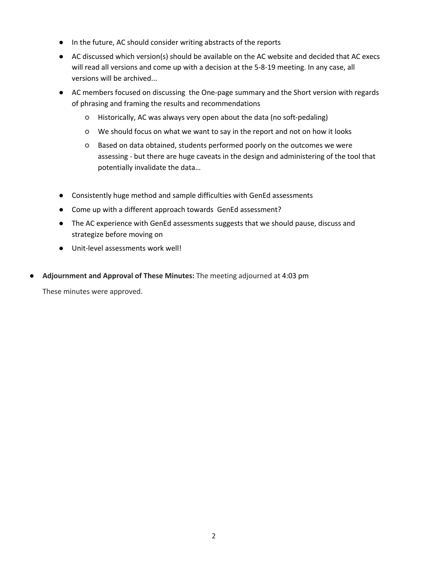- In the future, AC should consider writing abstracts of the reports
- AC discussed which version(s) should be available on the AC website and decided that AC execs will read all versions and come up with a decision at the 5-8-19 meeting. In any case, all versions will be archived...
- AC members focused on discussing the One-page summary and the Short version with regards of phrasing and framing the results and recommendations
	- Historically, AC was always very open about the data (no soft-pedaling)
	- We should focus on what we want to say in the report and not on how it looks
	- Based on data obtained, students performed poorly on the outcomes we were assessing - but there are huge caveats in the design and administering of the tool that potentially invalidate the data…
- Consistently huge method and sample difficulties with GenEd assessments
- Come up with a different approach towards GenEd assessment?
- The AC experience with GenEd assessments suggests that we should pause, discuss and strategize before moving on
- Unit-level assessments work well!
- **Adjournment and Approval of These Minutes:** The meeting adjourned at 4:03 pm

These minutes were approved.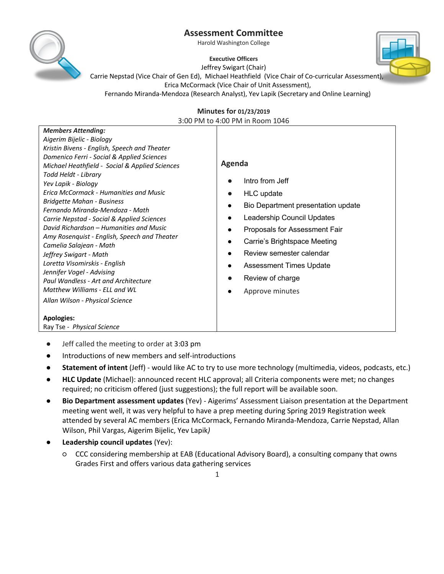Harold Washington College



**Executive Officers** Jeffrey Swigart (Chair) Carrie Nepstad (Vice Chair of Gen Ed), Michael Heathfield (Vice Chair of Co-curricular Assessment), Erica McCormack (Vice Chair of Unit Assessment), Fernando Miranda-Mendoza (Research Analyst), Yev Lapik (Secretary and Online Learning)

#### **Minutes for 01/23/2019**  3:00 PM to 4:00 PM in Room 1046

| <b>Members Attending:</b>                               |                                                 |
|---------------------------------------------------------|-------------------------------------------------|
| Aigerim Bijelic - Biology                               |                                                 |
| Kristin Bivens - English, Speech and Theater            |                                                 |
| Domenico Ferri - Social & Applied Sciences              |                                                 |
| Michael Heathfield - Social & Applied Sciences          | Agenda                                          |
| Todd Heldt - Library                                    |                                                 |
| Yev Lapik - Biology                                     | Intro from Jeff                                 |
| Erica McCormack - Humanities and Music                  | <b>HLC</b> update<br>0                          |
| <b>Bridgette Mahan - Business</b>                       | Bio Department presentation update<br>$\bullet$ |
| Fernando Miranda-Mendoza - Math                         |                                                 |
| Carrie Nepstad - Social & Applied Sciences              | Leadership Council Updates<br>$\bullet$         |
| David Richardson – Humanities and Music                 | Proposals for Assessment Fair<br>$\bullet$      |
| Amy Rosenguist - English, Speech and Theater            | Carrie's Brightspace Meeting                    |
| Camelia Salajean - Math                                 | Review semester calendar                        |
| Jeffrey Swigart - Math<br>Loretta Visomirskis - English |                                                 |
| Jennifer Vogel - Advising                               | <b>Assessment Times Update</b><br>$\bullet$     |
| Paul Wandless - Art and Architecture                    | Review of charge                                |
| Matthew Williams - ELL and WL                           |                                                 |
|                                                         | Approve minutes<br>$\bullet$                    |
| Allan Wilson - Physical Science                         |                                                 |
| <b>Apologies:</b>                                       |                                                 |
| Ray Tse - Physical Science                              |                                                 |

- Jeff called the meeting to order at 3:03 pm
- Introductions of new members and self-introductions
- **Statement of intent** (Jeff) would like AC to try to use more technology (multimedia, videos, podcasts, etc.)
- **HLC Update** (Michael): announced recent HLC approval; all Criteria components were met; no changes required; no criticism offered (just suggestions); the full report will be available soon.
- **Bio Department assessment updates** (Yev) Aigerims' Assessment Liaison presentation at the Department meeting went well, it was very helpful to have a prep meeting during Spring 2019 Registration week attended by several AC members (Erica McCormack, Fernando Miranda-Mendoza, Carrie Nepstad, Allan Wilson, Phil Vargas, Aigerim Bijelic, Yev Lapik*)*
- **Leadership council updates (Yev):** 
	- CCC considering membership at EAB (Educational Advisory Board), a consulting company that owns Grades First and offers various data gathering services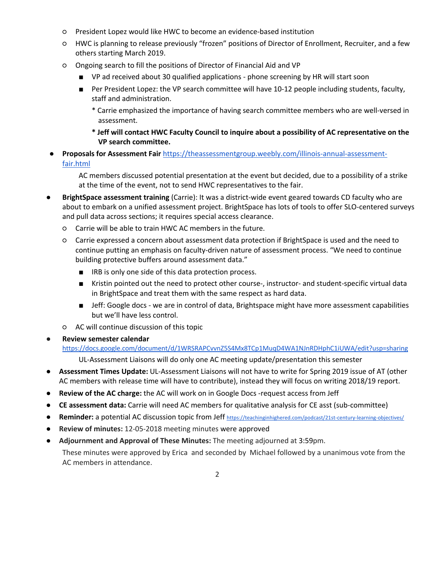- President Lopez would like HWC to become an evidence-based institution
- HWC is planning to release previously "frozen" positions of Director of Enrollment, Recruiter, and a few others starting March 2019.
- Ongoing search to fill the positions of Director of Financial Aid and VP
	- VP ad received about 30 qualified applications phone screening by HR will start soon
	- Per President Lopez: the VP search committee will have 10-12 people including students, faculty, staff and administration.
		- \* Carrie emphasized the importance of having search committee members who are well-versed in assessment.
		- **\* Jeff will contact HWC Faculty Council to inquire about a possibility of AC representative on the VP search committee.**
- **Proposals for Assessment Fair** https://theassessmentgroup.weebly.com/illinois-annual-assessmentfair.html

AC members discussed potential presentation at the event but decided, due to a possibility of a strike at the time of the event, not to send HWC representatives to the fair.

- **BrightSpace assessment training** (Carrie): It was a district-wide event geared towards CD faculty who are about to embark on a unified assessment project. BrightSpace has lots of tools to offer SLO-centered surveys and pull data across sections; it requires special access clearance.
	- Carrie will be able to train HWC AC members in the future.
	- Carrie expressed a concern about assessment data protection if BrightSpace is used and the need to continue putting an emphasis on faculty-driven nature of assessment process. "We need to continue building protective buffers around assessment data."
		- IRB is only one side of this data protection process.
		- Kristin pointed out the need to protect other course-, instructor- and student-specific virtual data in BrightSpace and treat them with the same respect as hard data.
		- Jeff: Google docs we are in control of data, Brightspace might have more assessment capabilities but we'll have less control.
	- AC will continue discussion of this topic

## **Review semester calendar**

https://docs.google.com/document/d/1WRSRAPCvvnZ5S4Mx8TCp1MuqD4WA1NJnRDHphC1iUWA/edit?usp=sharing UL-Assessment Liaisons will do only one AC meeting update/presentation this semester

- **Assessment Times Update:** UL-Assessment Liaisons will not have to write for Spring 2019 issue of AT (other AC members with release time will have to contribute), instead they will focus on writing 2018/19 report.
- **Review of the AC charge:** the AC will work on in Google Docs -request access from Jeff
- **CE assessment data:** Carrie will need AC members for qualitative analysis for CE asst (sub-committee)
- **Reminder:** a potential AC discussion topic from Jeff https://teachinginhighered.com/podcast/21st-century-learning-objectives/
- **Review of minutes:** 12-05-2018 meeting minutes were approved
- **Adjournment and Approval of These Minutes:** The meeting adjourned at 3:59pm..

These minutes were approved by Erica and seconded by Michael followed by a unanimous vote from the AC members in attendance.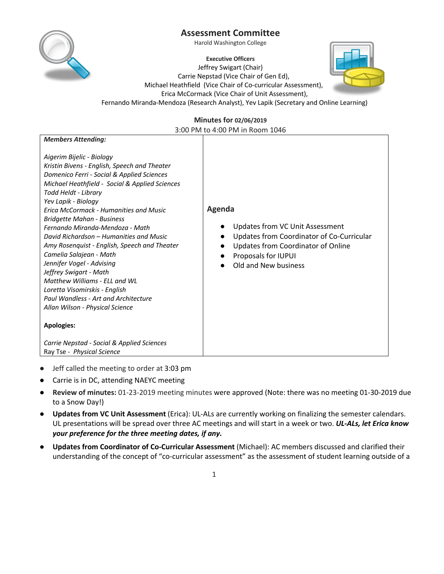

Harold Washington College

**Executive Officers** Jeffrey Swigart (Chair) Carrie Nepstad (Vice Chair of Gen Ed), Michael Heathfield (Vice Chair of Co-curricular Assessment), Erica McCormack (Vice Chair of Unit Assessment), Fernando Miranda-Mendoza (Research Analyst), Yev Lapik (Secretary and Online Learning)



#### **Minutes for 02/06/2019**

3:00 PM to 4:00 PM in Room 1046

| <b>Members Attending:</b>                                                                                                                                                                                                                                                                                                                                                                                                                                                                                                                                                                                                                                                                                                        |                                                                                                                                                                             |
|----------------------------------------------------------------------------------------------------------------------------------------------------------------------------------------------------------------------------------------------------------------------------------------------------------------------------------------------------------------------------------------------------------------------------------------------------------------------------------------------------------------------------------------------------------------------------------------------------------------------------------------------------------------------------------------------------------------------------------|-----------------------------------------------------------------------------------------------------------------------------------------------------------------------------|
|                                                                                                                                                                                                                                                                                                                                                                                                                                                                                                                                                                                                                                                                                                                                  |                                                                                                                                                                             |
| Aigerim Bijelic - Biology<br>Kristin Bivens - English, Speech and Theater<br>Domenico Ferri - Social & Applied Sciences<br>Michael Heathfield - Social & Applied Sciences<br>Todd Heldt - Library<br>Yev Lapik - Biology<br>Erica McCormack - Humanities and Music<br>Bridgette Mahan - Business<br>Fernando Miranda-Mendoza - Math<br>David Richardson – Humanities and Music<br>Amy Rosenquist - English, Speech and Theater<br>Camelia Salajean - Math<br>Jennifer Vogel - Advising<br>Jeffrey Swigart - Math<br>Matthew Williams - ELL and WL<br>Loretta Visomirskis - English<br>Paul Wandless - Art and Architecture<br>Allan Wilson - Physical Science<br><b>Apologies:</b><br>Carrie Nepstad - Social & Applied Sciences | Agenda<br>Updates from VC Unit Assessment<br>Updates from Coordinator of Co-Curricular<br>Updates from Coordinator of Online<br>Proposals for IUPUI<br>Old and New business |
| Ray Tse - Physical Science                                                                                                                                                                                                                                                                                                                                                                                                                                                                                                                                                                                                                                                                                                       |                                                                                                                                                                             |

- Jeff called the meeting to order at 3:03 pm
- Carrie is in DC, attending NAEYC meeting
- **Review of minutes:** 01-23-2019 meeting minutes were approved (Note: there was no meeting 01-30-2019 due to a Snow Day!)
- **Updates from VC Unit Assessment** (Erica): UL-ALs are currently working on finalizing the semester calendars. UL presentations will be spread over three AC meetings and will start in a week or two. *UL-ALs, let Erica know your preference for the three meeting dates, if any.*
- **Updates from Coordinator of Co-Curricular Assessment** (Michael): AC members discussed and clarified their understanding of the concept of "co-curricular assessment" as the assessment of student learning outside of a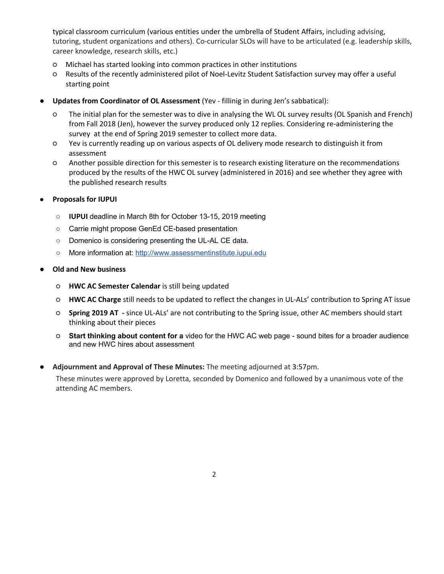typical classroom curriculum (various entities under the umbrella of Student Affairs, including advising, tutoring, student organizations and others). Co-curricular SLOs will have to be articulated (e.g. leadership skills, career knowledge, research skills, etc.)

- Michael has started looking into common practices in other institutions
- Results of the recently administered pilot of Noel-Levitz Student Satisfaction survey may offer a useful starting point
- **Updates from Coordinator of OL Assessment** (Yev fillinig in during Jen's sabbatical):
	- The initial plan for the semester was to dive in analysing the WL OL survey results (OL Spanish and French) from Fall 2018 (Jen), however the survey produced only 12 replies. Considering re-administering the survey at the end of Spring 2019 semester to collect more data.
	- Yev is currently reading up on various aspects of OL delivery mode research to distinguish it from assessment
	- Another possible direction for this semester is to research existing literature on the recommendations produced by the results of the HWC OL survey (administered in 2016) and see whether they agree with the published research results
- **Proposals for IUPUI** 
	- **IUPUI** deadline in March 8th for October 13-15, 2019 meeting
	- Carrie might propose GenEd CE-based presentation
	- Domenico is considering presenting the UL-AL CE data.
	- More information at: http://www.assessmentinstitute.iupui.edu
- **Old and New business** 
	- **HWC AC Semester Calendar** is still being updated
	- **HWC AC Charge** still needs to be updated to reflect the changes in UL-ALs' contribution to Spring AT issue
	- **Spring 2019 AT -** since UL-ALs' are not contributing to the Spring issue, other AC members should start thinking about their pieces
	- **Start thinking about content for a** video for the HWC AC web page sound bites for a broader audience and new HWC hires about assessment
- **Adjournment and Approval of These Minutes:** The meeting adjourned at 3:57pm..

These minutes were approved by Loretta, seconded by Domenico and followed by a unanimous vote of the attending AC members.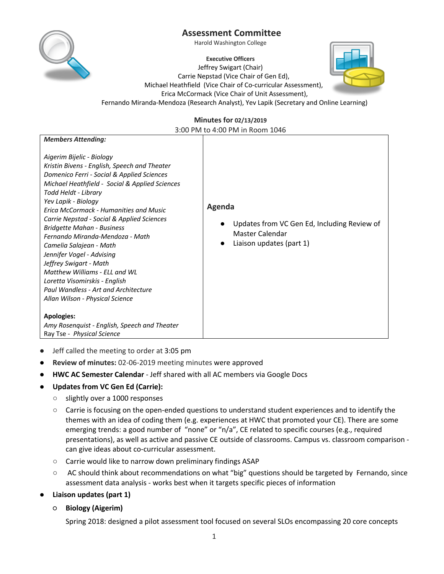

Harold Washington College

**Executive Officers** Jeffrey Swigart (Chair) Carrie Nepstad (Vice Chair of Gen Ed), Michael Heathfield (Vice Chair of Co-curricular Assessment), Erica McCormack (Vice Chair of Unit Assessment), Fernando Miranda-Mendoza (Research Analyst), Yev Lapik (Secretary and Online Learning)



### **Minutes for 02/13/2019**

3:00 PM to 4:00 PM in Room 1046

| <b>Members Attending:</b>                                                                                                                                                                                                                                                                                                                                                                                                                                                                                                                                                                                                                                                                           |                                                                                                      |
|-----------------------------------------------------------------------------------------------------------------------------------------------------------------------------------------------------------------------------------------------------------------------------------------------------------------------------------------------------------------------------------------------------------------------------------------------------------------------------------------------------------------------------------------------------------------------------------------------------------------------------------------------------------------------------------------------------|------------------------------------------------------------------------------------------------------|
| Aigerim Bijelic - Biology<br>Kristin Bivens - English, Speech and Theater<br>Domenico Ferri - Social & Applied Sciences<br>Michael Heathfield - Social & Applied Sciences<br>Todd Heldt - Library<br>Yev Lapik - Biology<br><b>Erica McCormack - Humanities and Music</b><br>Carrie Nepstad - Social & Applied Sciences<br><b>Bridgette Mahan - Business</b><br>Fernando Miranda-Mendoza - Math<br>Camelia Salajean - Math<br>Jennifer Vogel - Advising<br>Jeffrey Swigart - Math<br>Matthew Williams - ELL and WL<br>Loretta Visomirskis - English<br>Paul Wandless - Art and Architecture<br>Allan Wilson - Physical Science<br><b>Apologies:</b><br>Amy Rosenquist - English, Speech and Theater | Agenda<br>Updates from VC Gen Ed, Including Review of<br>Master Calendar<br>Liaison updates (part 1) |
| Ray Tse - Physical Science                                                                                                                                                                                                                                                                                                                                                                                                                                                                                                                                                                                                                                                                          |                                                                                                      |

- Jeff called the meeting to order at 3:05 pm
- **Review of minutes:** 02-06-2019 meeting minutes were approved
- **HWC AC Semester Calendar** Jeff shared with all AC members via Google Docs
- **Updates from VC Gen Ed (Carrie):** 
	- slightly over a 1000 responses
	- Carrie is focusing on the open-ended questions to understand student experiences and to identify the themes with an idea of coding them (e.g. experiences at HWC that promoted your CE). There are some emerging trends: a good number of "none" or "n/a", CE related to specific courses (e.g., required presentations), as well as active and passive CE outside of classrooms. Campus vs. classroom comparison can give ideas about co-curricular assessment.
	- Carrie would like to narrow down preliminary findings ASAP
	- AC should think about recommendations on what "big" questions should be targeted by Fernando, since assessment data analysis - works best when it targets specific pieces of information
- **Liaison updates (part 1)**
	- **Biology (Aigerim)**

Spring 2018: designed a pilot assessment tool focused on several SLOs encompassing 20 core concepts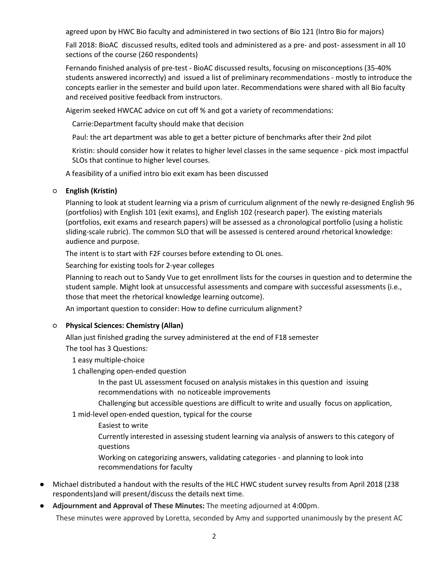agreed upon by HWC Bio faculty and administered in two sections of Bio 121 (Intro Bio for majors)

Fall 2018: BioAC discussed results, edited tools and administered as a pre- and post- assessment in all 10 sections of the course (260 respondents)

Fernando finished analysis of pre-test - BioAC discussed results, focusing on misconceptions (35-40% students answered incorrectly) and issued a list of preliminary recommendations - mostly to introduce the concepts earlier in the semester and build upon later. Recommendations were shared with all Bio faculty and received positive feedback from instructors.

Aigerim seeked HWCAC advice on cut off % and got a variety of recommendations:

Carrie:Department faculty should make that decision

Paul: the art department was able to get a better picture of benchmarks after their 2nd pilot

Kristin: should consider how it relates to higher level classes in the same sequence - pick most impactful SLOs that continue to higher level courses.

A feasibility of a unified intro bio exit exam has been discussed

#### ○ **English (Kristin)**

Planning to look at student learning via a prism of curriculum alignment of the newly re-designed English 96 (portfolios) with English 101 (exit exams), and English 102 (research paper). The existing materials (portfolios, exit exams and research papers) will be assessed as a chronological portfolio (using a holistic sliding-scale rubric). The common SLO that will be assessed is centered around rhetorical knowledge: audience and purpose.

The intent is to start with F2F courses before extending to OL ones.

Searching for existing tools for 2-year colleges

Planning to reach out to Sandy Vue to get enrollment lists for the courses in question and to determine the student sample. Might look at unsuccessful assessments and compare with successful assessments (i.e., those that meet the rhetorical knowledge learning outcome).

An important question to consider: How to define curriculum alignment?

#### ○ **Physical Sciences: Chemistry (Allan)**

Allan just finished grading the survey administered at the end of F18 semester

The tool has 3 Questions:

1 easy multiple-choice

1 challenging open-ended question

In the past UL assessment focused on analysis mistakes in this question and issuing recommendations with no noticeable improvements

Challenging but accessible questions are difficult to write and usually focus on application,

1 mid-level open-ended question, typical for the course

Easiest to write

Currently interested in assessing student learning via analysis of answers to this category of questions

Working on categorizing answers, validating categories - and planning to look into recommendations for faculty

- Michael distributed a handout with the results of the HLC HWC student survey results from April 2018 (238 respondents)and will present/discuss the details next time.
- **Adjournment and Approval of These Minutes:** The meeting adjourned at 4:00pm..

These minutes were approved by Loretta, seconded by Amy and supported unanimously by the present AC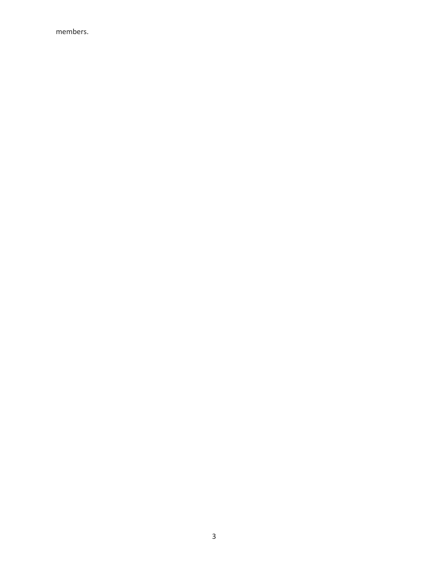members.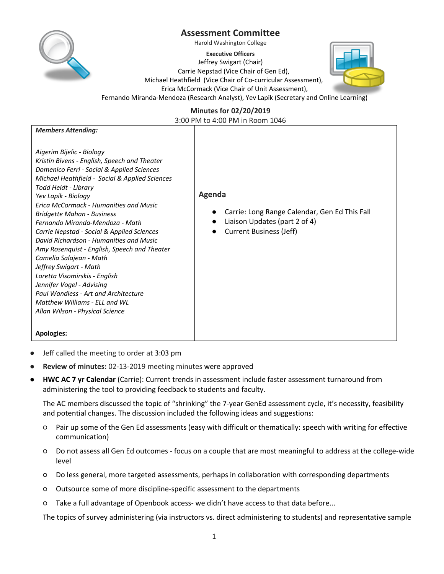

Harold Washington College

**Executive Officers** Jeffrey Swigart (Chair) Carrie Nepstad (Vice Chair of Gen Ed), Michael Heathfield (Vice Chair of Co-curricular Assessment), Erica McCormack (Vice Chair of Unit Assessment), Fernando Miranda-Mendoza (Research Analyst), Yev Lapik (Secretary and Online Learning)



**Minutes for 02/20/2019**

3:00 PM to 4:00 PM in Room 1046

| <b>Members Attending:</b>                                                 |                                                            |
|---------------------------------------------------------------------------|------------------------------------------------------------|
| Aigerim Bijelic - Biology<br>Kristin Bivens - English, Speech and Theater |                                                            |
| Domenico Ferri - Social & Applied Sciences                                |                                                            |
| Michael Heathfield - Social & Applied Sciences                            |                                                            |
| Todd Heldt - Library                                                      | Agenda                                                     |
| Yev Lapik - Biology<br><b>Erica McCormack - Humanities and Music</b>      |                                                            |
| <b>Bridgette Mahan - Business</b>                                         | Carrie: Long Range Calendar, Gen Ed This Fall<br>$\bullet$ |
| Fernando Miranda-Mendoza - Math                                           | Liaison Updates (part 2 of 4)                              |
| Carrie Nepstad - Social & Applied Sciences                                | <b>Current Business (Jeff)</b>                             |
| David Richardson - Humanities and Music                                   |                                                            |
| Amy Rosenquist - English, Speech and Theater<br>Camelia Salajean - Math   |                                                            |
| Jeffrey Swigart - Math                                                    |                                                            |
| Loretta Visomirskis - English                                             |                                                            |
| Jennifer Vogel - Advising                                                 |                                                            |
| Paul Wandless - Art and Architecture<br>Matthew Williams - ELL and WL     |                                                            |
| Allan Wilson - Physical Science                                           |                                                            |
|                                                                           |                                                            |
| <b>Apologies:</b>                                                         |                                                            |

- Jeff called the meeting to order at 3:03 pm
- **Review of minutes: 02-13-2019** meeting minutes were approved
- **HWC AC 7 yr Calendar** (Carrie): Current trends in assessment include faster assessment turnaround from administering the tool to providing feedback to students and faculty.

The AC members discussed the topic of "shrinking" the 7-year GenEd assessment cycle, it's necessity, feasibility and potential changes. The discussion included the following ideas and suggestions:

- Pair up some of the Gen Ed assessments (easy with difficult or thematically: speech with writing for effective communication)
- Do not assess all Gen Ed outcomes focus on a couple that are most meaningful to address at the college-wide level
- Do less general, more targeted assessments, perhaps in collaboration with corresponding departments
- Outsource some of more discipline-specific assessment to the departments
- Take a full advantage of Openbook access- we didn't have access to that data before...

The topics of survey administering (via instructors vs. direct administering to students) and representative sample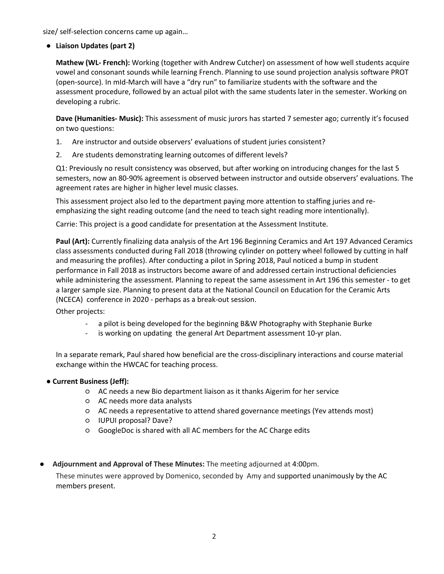size/ self-selection concerns came up again…

### ● **Liaison Updates (part 2)**

**Mathew (WL- French):** Working (together with Andrew Cutcher) on assessment of how well students acquire vowel and consonant sounds while learning French. Planning to use sound projection analysis software PROT (open-source). In mId-March will have a "dry run" to familiarize students with the software and the assessment procedure, followed by an actual pilot with the same students later in the semester. Working on developing a rubric.

**Dave (Humanities- Music):** This assessment of music jurors has started 7 semester ago; currently it's focused on two questions:

- 1. Are instructor and outside observers' evaluations of student juries consistent?
- 2. Are students demonstrating learning outcomes of different levels?

Q1: Previously no result consistency was observed, but after working on introducing changes for the last 5 semesters, now an 80-90% agreement is observed between instructor and outside observers' evaluations. The agreement rates are higher in higher level music classes.

This assessment project also led to the department paying more attention to staffing juries and reemphasizing the sight reading outcome (and the need to teach sight reading more intentionally).

Carrie: This project is a good candidate for presentation at the Assessment Institute.

**Paul (Art):** Currently finalizing data analysis of the Art 196 Beginning Ceramics and Art 197 Advanced Ceramics class assessments conducted during Fall 2018 (throwing cylinder on pottery wheel followed by cutting in half and measuring the profiles). After conducting a pilot in Spring 2018, Paul noticed a bump in student performance in Fall 2018 as instructors become aware of and addressed certain instructional deficiencies while administering the assessment. Planning to repeat the same assessment in Art 196 this semester - to get a larger sample size. Planning to present data at the National Council on Education for the Ceramic Arts (NCECA) conference in 2020 - perhaps as a break-out session.

Other projects:

- a pilot is being developed for the beginning B&W Photography with Stephanie Burke
- is working on updating the general Art Department assessment 10-yr plan.

In a separate remark, Paul shared how beneficial are the cross-disciplinary interactions and course material exchange within the HWCAC for teaching process.

#### ● **Current Business (Jeff):**

- AC needs a new Bio department liaison as it thanks Aigerim for her service
- AC needs more data analysts
- AC needs a representative to attend shared governance meetings (Yev attends most)
- IUPUI proposal? Dave?
- GoogleDoc is shared with all AC members for the AC Charge edits
- **Adjournment and Approval of These Minutes:** The meeting adjourned at 4:00pm..

These minutes were approved by Domenico, seconded by Amy and supported unanimously by the AC members present.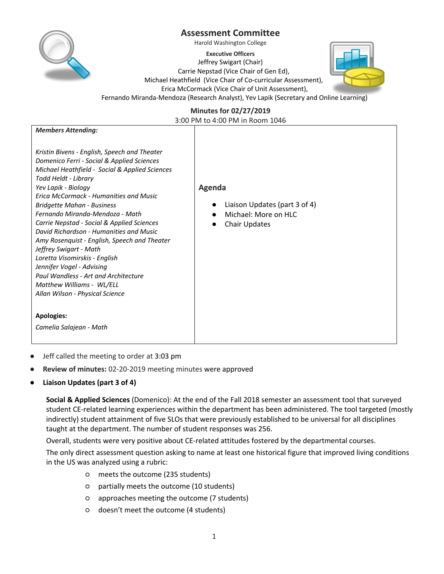

Harold Washington College

**Executive Officers** Jeffrey Swigart (Chair) Carrie Nepstad (Vice Chair of Gen Ed), Michael Heathfield (Vice Chair of Co-curricular Assessment), Erica McCormack (Vice Chair of Unit Assessment), Fernando Miranda-Mendoza (Research Analyst), Yev Lapik (Secretary and Online Learning)



**Minutes for 02/27/2019** 

3:00 PM to 4:00 PM in Room 1046

| <b>Members Attending:</b>                                  |                               |
|------------------------------------------------------------|-------------------------------|
|                                                            |                               |
| Kristin Bivens - English, Speech and Theater               |                               |
| Domenico Ferri - Social & Applied Sciences                 |                               |
| Michael Heathfield - Social & Applied Sciences             |                               |
| Todd Heldt - Library                                       |                               |
| Yev Lapik - Biology                                        | Agenda                        |
| <b>Erica McCormack - Humanities and Music</b>              |                               |
| <b>Bridgette Mahan - Business</b>                          | Liaison Updates (part 3 of 4) |
| Fernando Miranda-Mendoza - Math                            | Michael: More on HLC          |
| Carrie Nepstad - Social & Applied Sciences                 | <b>Chair Updates</b>          |
| David Richardson - Humanities and Music                    |                               |
| Amy Rosenquist - English, Speech and Theater               |                               |
| Jeffrey Swigart - Math                                     |                               |
| Loretta Visomirskis - English<br>Jennifer Vogel - Advising |                               |
| Paul Wandless - Art and Architecture                       |                               |
| Matthew Williams - WL/ELL                                  |                               |
| Allan Wilson - Physical Science                            |                               |
|                                                            |                               |
|                                                            |                               |
| <b>Apologies:</b>                                          |                               |
| Camelia Salajean - Math                                    |                               |
|                                                            |                               |

- Jeff called the meeting to order at 3:03 pm
- **Review of minutes:** 02-20-2019 meeting minutes were approved
- **Liaison Updates (part 3 of 4)**

**Social & Applied Sciences** (Domenico): At the end of the Fall 2018 semester an assessment tool that surveyed student CE-related learning experiences within the department has been administered. The tool targeted (mostly indirectly) student attainment of five SLOs that were previously established to be universal for all disciplines taught at the department. The number of student responses was 256.

Overall, students were very positive about CE-related attitudes fostered by the departmental courses.

The only direct assessment question asking to name at least one historical figure that improved living conditions in the US was analyzed using a rubric:

- meets the outcome (235 students)
- partially meets the outcome (10 students)
- approaches meeting the outcome (7 students)
- doesn't meet the outcome (4 students)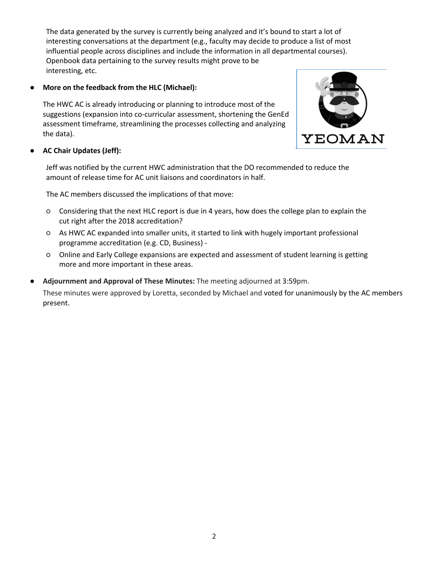The data generated by the survey is currently being analyzed and it's bound to start a lot of interesting conversations at the department (e.g., faculty may decide to produce a list of most influential people across disciplines and include the information in all departmental courses). Openbook data pertaining to the survey results might prove to be interesting, etc.

**More on the feedback from the HLC (Michael):** 

The HWC AC is already introducing or planning to introduce most of the suggestions (expansion into co-curricular assessment, shortening the GenEd assessment timeframe, streamlining the processes collecting and analyzing the data).



## ● **AC Chair Updates (Jeff):**

Jeff was notified by the current HWC administration that the DO recommended to reduce the amount of release time for AC unit liaisons and coordinators in half.

The AC members discussed the implications of that move:

- Considering that the next HLC report is due in 4 years, how does the college plan to explain the cut right after the 2018 accreditation?
- As HWC AC expanded into smaller units, it started to link with hugely important professional programme accreditation (e.g. CD, Business) -
- Online and Early College expansions are expected and assessment of student learning is getting more and more important in these areas.
- **Adjournment and Approval of These Minutes:** The meeting adjourned at 3:59pm..

These minutes were approved by Loretta, seconded by Michael and voted for unanimously by the AC members present.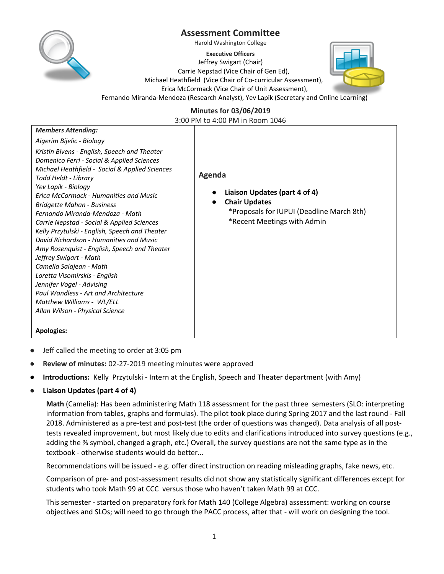

Harold Washington College

**Executive Officers** Jeffrey Swigart (Chair) Carrie Nepstad (Vice Chair of Gen Ed), Michael Heathfield (Vice Chair of Co-curricular Assessment), Erica McCormack (Vice Chair of Unit Assessment), Fernando Miranda-Mendoza (Research Analyst), Yev Lapik (Secretary and Online Learning)



**Minutes for 03/06/2019** 

3:00 PM to 4:00 PM in Room 1046

| <b>Members Attending:</b>                                                                                                                                                                                                                                                                                                                                                                                                                                                                                                                                                                                                                                                                                                                  |                                                                                                                                             |
|--------------------------------------------------------------------------------------------------------------------------------------------------------------------------------------------------------------------------------------------------------------------------------------------------------------------------------------------------------------------------------------------------------------------------------------------------------------------------------------------------------------------------------------------------------------------------------------------------------------------------------------------------------------------------------------------------------------------------------------------|---------------------------------------------------------------------------------------------------------------------------------------------|
| Aigerim Bijelic - Biology                                                                                                                                                                                                                                                                                                                                                                                                                                                                                                                                                                                                                                                                                                                  |                                                                                                                                             |
| Kristin Bivens - English, Speech and Theater<br>Domenico Ferri - Social & Applied Sciences<br>Michael Heathfield - Social & Applied Sciences<br>Todd Heldt - Library<br>Yev Lapik - Biology<br><b>Erica McCormack - Humanities and Music</b><br><b>Bridgette Mahan - Business</b><br>Fernando Miranda-Mendoza - Math<br>Carrie Nepstad - Social & Applied Sciences<br>Kelly Przytulski - English, Speech and Theater<br>David Richardson - Humanities and Music<br>Amy Rosenquist - English, Speech and Theater<br>Jeffrey Swigart - Math<br>Camelia Salajean - Math<br>Loretta Visomirskis - English<br>Jennifer Vogel - Advising<br>Paul Wandless - Art and Architecture<br>Matthew Williams - WL/ELL<br>Allan Wilson - Physical Science | Agenda<br>Liaison Updates (part 4 of 4)<br><b>Chair Updates</b><br>*Proposals for IUPUI (Deadline March 8th)<br>*Recent Meetings with Admin |
| <b>Apologies:</b>                                                                                                                                                                                                                                                                                                                                                                                                                                                                                                                                                                                                                                                                                                                          |                                                                                                                                             |

- Jeff called the meeting to order at 3:05 pm
- **Review of minutes: 02-27-2019** meeting minutes were approved
- **Introductions:** Kelly Przytulski Intern at the English, Speech and Theater department (with Amy)
- **Liaison Updates (part 4 of 4)**

**Math** (Camelia): Has been administering Math 118 assessment for the past three semesters (SLO: interpreting information from tables, graphs and formulas). The pilot took place during Spring 2017 and the last round - Fall 2018. Administered as a pre-test and post-test (the order of questions was changed). Data analysis of all posttests revealed improvement, but most likely due to edits and clarifications introduced into survey questions (e.g., adding the % symbol, changed a graph, etc.) Overall, the survey questions are not the same type as in the textbook - otherwise students would do better...

Recommendations will be issued - e.g. offer direct instruction on reading misleading graphs, fake news, etc.

Comparison of pre- and post-assessment results did not show any statistically significant differences except for students who took Math 99 at CCC versus those who haven't taken Math 99 at CCC.

This semester - started on preparatory fork for Math 140 (College Algebra) assessment: working on course objectives and SLOs; will need to go through the PACC process, after that - will work on designing the tool.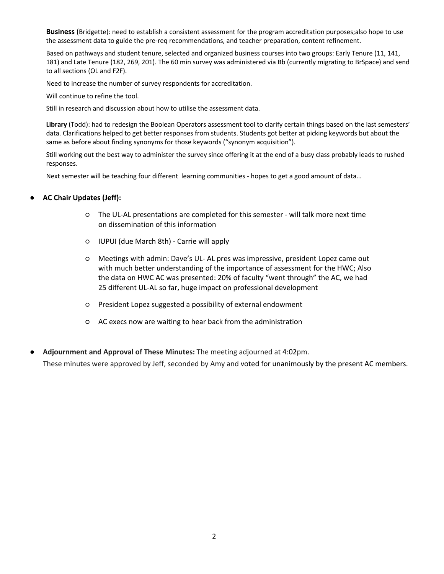**Business** (Bridgette)*:* need to establish a consistent assessment for the program accreditation purposes;also hope to use the assessment data to guide the pre-req recommendations, and teacher preparation, content refinement.

Based on pathways and student tenure, selected and organized business courses into two groups: Early Tenure (11, 141, 181) and Late Tenure (182, 269, 201). The 60 min survey was administered via Bb (currently migrating to BrSpace) and send to all sections (OL and F2F).

Need to increase the number of survey respondents for accreditation.

Will continue to refine the tool.

Still in research and discussion about how to utilise the assessment data.

**Library** (Todd): had to redesign the Boolean Operators assessment tool to clarify certain things based on the last semesters' data. Clarifications helped to get better responses from students. Students got better at picking keywords but about the same as before about finding synonyms for those keywords ("synonym acquisition").

Still working out the best way to administer the survey since offering it at the end of a busy class probably leads to rushed responses.

Next semester will be teaching four different learning communities - hopes to get a good amount of data…

- **AC Chair Updates (Jeff):**
	- The UL-AL presentations are completed for this semester will talk more next time on dissemination of this information
	- IUPUI (due March 8th) Carrie will apply
	- Meetings with admin: Dave's UL- AL pres was impressive, president Lopez came out with much better understanding of the importance of assessment for the HWC; Also the data on HWC AC was presented: 20% of faculty "went through" the AC, we had 25 different UL-AL so far, huge impact on professional development
	- President Lopez suggested a possibility of external endowment
	- AC execs now are waiting to hear back from the administration
- **Adjournment and Approval of These Minutes:** The meeting adjourned at 4:02pm.. These minutes were approved by Jeff, seconded by Amy and voted for unanimously by the present AC members.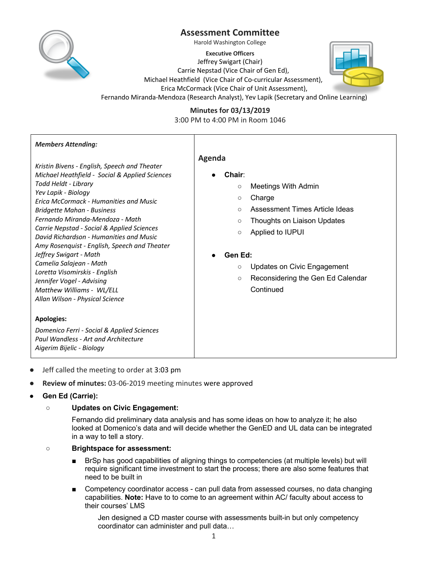

Harold Washington College

**Executive Officers**

Jeffrey Swigart (Chair) Carrie Nepstad (Vice Chair of Gen Ed),



Erica McCormack (Vice Chair of Unit Assessment),



Fernando Miranda-Mendoza (Research Analyst), Yev Lapik (Secretary and Online Learning)

**Minutes for 03/13/2019**  3:00 PM to 4:00 PM in Room 1046

| <b>Members Attending:</b>                                                                                                                                                                                                                                                                                                                                                                                                                                                                                                                                                                          |                                                                                                                                                                                                                                                                                                                               |
|----------------------------------------------------------------------------------------------------------------------------------------------------------------------------------------------------------------------------------------------------------------------------------------------------------------------------------------------------------------------------------------------------------------------------------------------------------------------------------------------------------------------------------------------------------------------------------------------------|-------------------------------------------------------------------------------------------------------------------------------------------------------------------------------------------------------------------------------------------------------------------------------------------------------------------------------|
| Kristin Bivens - English, Speech and Theater<br>Michael Heathfield - Social & Applied Sciences<br>Todd Heldt - Library<br>Yev Lapik - Biology<br><b>Erica McCormack - Humanities and Music</b><br><b>Bridgette Mahan - Business</b><br>Fernando Miranda-Mendoza - Math<br>Carrie Nepstad - Social & Applied Sciences<br>David Richardson - Humanities and Music<br>Amy Rosenquist - English, Speech and Theater<br>Jeffrey Swigart - Math<br>Camelia Salajean - Math<br>Loretta Visomirskis - English<br>Jennifer Vogel - Advising<br>Matthew Williams - WL/ELL<br>Allan Wilson - Physical Science | Agenda<br>Chair:<br><b>Meetings With Admin</b><br>$\circ$<br>Charge<br>$\circ$<br>Assessment Times Article Ideas<br>$\circ$<br>Thoughts on Liaison Updates<br>$\circ$<br>Applied to IUPUI<br>$\circ$<br>Gen Ed:<br><b>Updates on Civic Engagement</b><br>$\circ$<br>Reconsidering the Gen Ed Calendar<br>$\circ$<br>Continued |
| <b>Apologies:</b><br>Domenico Ferri - Social & Applied Sciences<br>Paul Wandless - Art and Architecture<br>Aigerim Bijelic - Biology                                                                                                                                                                                                                                                                                                                                                                                                                                                               |                                                                                                                                                                                                                                                                                                                               |

- Jeff called the meeting to order at 3:03 pm
- **Review of minutes: 03-06-2019** meeting minutes were approved
- **Gen Ed (Carrie):**

## ○ **Updates on Civic Engagement:**

Fernando did preliminary data analysis and has some ideas on how to analyze it; he also looked at Domenico's data and will decide whether the GenED and UL data can be integrated in a way to tell a story.

## ○ **Brightspace for assessment:**

- BrSp has good capabilities of aligning things to competencies (at multiple levels) but will require significant time investment to start the process; there are also some features that need to be built in
- Competency coordinator access can pull data from assessed courses, no data changing capabilities. **Note:** Have to to come to an agreement within AC/ faculty about access to their courses' LMS

Jen designed a CD master course with assessments built-in but only competency coordinator can administer and pull data…